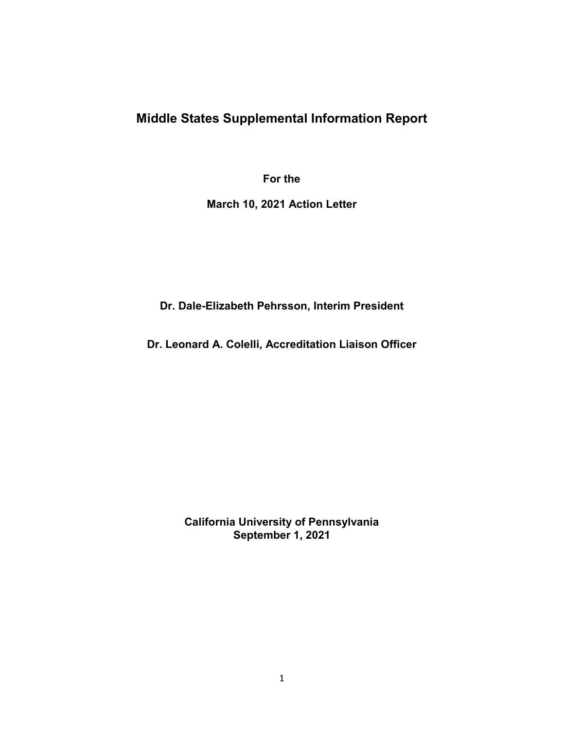# **Middle States Supplemental Information Report**

**For the** 

**March 10, 2021 Action Letter** 

**Dr. Dale-Elizabeth Pehrsson, Interim President** 

**Dr. Leonard A. Colelli, Accreditation Liaison Officer** 

**California University of Pennsylvania September 1, 2021**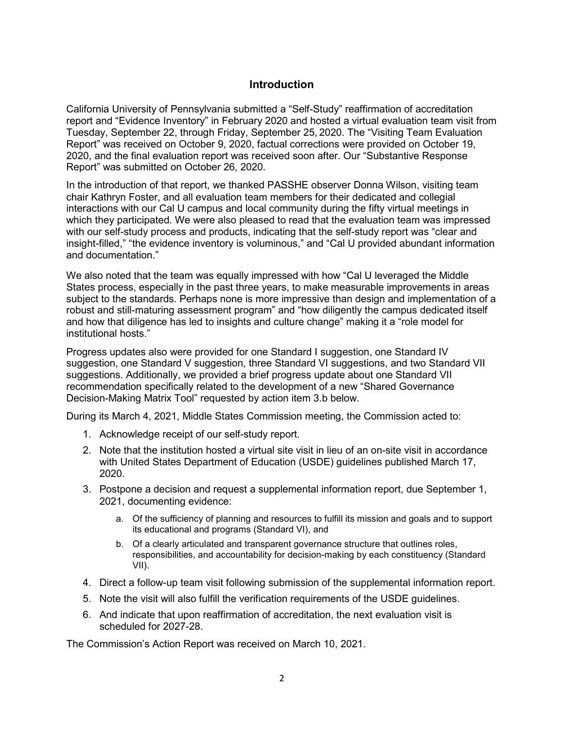#### **Introduction**

California University of Pennsylvania submitted a "Self-Study" reaffirmation of accreditation report and "Evidence Inventory" in February 2020 and hosted a virtual evaluation team visit from Tuesday, September 22, through Friday, September 25, 2020. The "Visiting Team Evaluation Report" was received on October 9, 2020, factual corrections were provided on October 19, 2020, and the final evaluation report was received soon after. Our "Substantive Response Report" was submitted on October 26, 2020.

In the introduction of that report, we thanked PASSHE observer Donna Wilson, visiting team chair Kathryn Foster, and all evaluation team members for their dedicated and collegial interactions with our Cal U campus and local community during the fifty virtual meetings in which they participated. We were also pleased to read that the evaluation team was impressed with our self-study process and products, indicating that the self-study report was "clear and insight-filled," "the evidence inventory is voluminous," and "Cal U provided abundant information and documentation."

We also noted that the team was equally impressed with how "Cal U leveraged the Middle States process, especially in the past three years, to make measurable improvements in areas subject to the standards. Perhaps none is more impressive than design and implementation of a robust and still-maturing assessment program" and "how diligently the campus dedicated itself and how that diligence has led to insights and culture change" making it a "role model for institutional hosts."

Progress updates also were provided for one Standard I suggestion, one Standard IV suggestion, one Standard V suggestion, three Standard VI suggestions, and two Standard VII suggestions. Additionally, we provided a brief progress update about one Standard VII recommendation specifically related to the development of a new "Shared Governance Decision-Making Matrix Tool" requested by action item 3.b below.

During its March 4, 2021, Middle States Commission meeting, the Commission acted to:

- 1. Acknowledge receipt of our self-study report.
- 2. Note that the institution hosted a virtual site visit in lieu of an on-site visit in accordance with United States Department of Education (USDE) guidelines published March 17, 2020.
- 3. Postpone a decision and request a supplemental information report, due September 1, 2021, documenting evidence:
	- a. Of the sufficiency of planning and resources to fulfill its mission and goals and to support its educational and programs (Standard VI), and
	- b. Of a clearly articulated and transparent governance structure that outlines roles, responsibilities, and accountability for decision-making by each constituency (Standard VII).
- 4. Direct a follow-up team visit following submission of the supplemental information report.
- 5. Note the visit will also fulfill the verification requirements of the USDE guidelines.
- 6. And indicate that upon reaffirmation of accreditation, the next evaluation visit is scheduled for 2027-28.

The Commission's Action Report was received on March 10, 2021.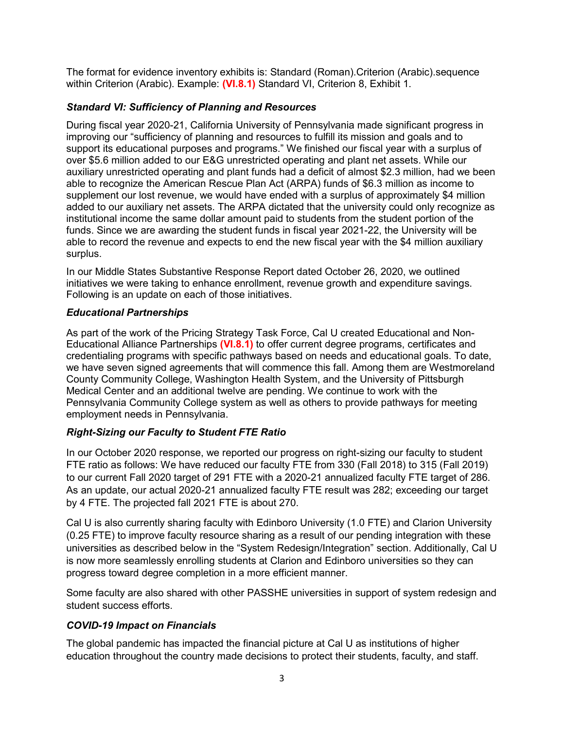The format for evidence inventory exhibits is: Standard (Roman).Criterion (Arabic).sequence within Criterion (Arabic). Example: **(VI.8.1)** Standard VI, Criterion 8, Exhibit 1.

#### *Standard VI: Sufficiency of Planning and Resources*

During fiscal year 2020-21, California University of Pennsylvania made significant progress in improving our "sufficiency of planning and resources to fulfill its mission and goals and to support its educational purposes and programs." We finished our fiscal year with a surplus of over \$5.6 million added to our E&G unrestricted operating and plant net assets. While our auxiliary unrestricted operating and plant funds had a deficit of almost \$2.3 million, had we been able to recognize the American Rescue Plan Act (ARPA) funds of \$6.3 million as income to supplement our lost revenue, we would have ended with a surplus of approximately \$4 million added to our auxiliary net assets. The ARPA dictated that the university could only recognize as institutional income the same dollar amount paid to students from the student portion of the funds. Since we are awarding the student funds in fiscal year 2021-22, the University will be able to record the revenue and expects to end the new fiscal year with the \$4 million auxiliary surplus.

In our Middle States Substantive Response Report dated October 26, 2020, we outlined initiatives we were taking to enhance enrollment, revenue growth and expenditure savings. Following is an update on each of those initiatives.

#### *Educational Partnerships*

As part of the work of the Pricing Strategy Task Force, Cal U created Educational and Non-Educational Alliance Partnerships **(VI.8.1)** to offer current degree programs, certificates and credentialing programs with specific pathways based on needs and educational goals. To date, we have seven signed agreements that will commence this fall. Among them are Westmoreland County Community College, Washington Health System, and the University of Pittsburgh Medical Center and an additional twelve are pending. We continue to work with the Pennsylvania Community College system as well as others to provide pathways for meeting employment needs in Pennsylvania.

## *Right-Sizing our Faculty to Student FTE Ratio*

In our October 2020 response, we reported our progress on right-sizing our faculty to student FTE ratio as follows: We have reduced our faculty FTE from 330 (Fall 2018) to 315 (Fall 2019) to our current Fall 2020 target of 291 FTE with a 2020-21 annualized faculty FTE target of 286. As an update, our actual 2020-21 annualized faculty FTE result was 282; exceeding our target by 4 FTE. The projected fall 2021 FTE is about 270.

Cal U is also currently sharing faculty with Edinboro University (1.0 FTE) and Clarion University (0.25 FTE) to improve faculty resource sharing as a result of our pending integration with these universities as described below in the "System Redesign/Integration" section. Additionally, Cal U is now more seamlessly enrolling students at Clarion and Edinboro universities so they can progress toward degree completion in a more efficient manner.

Some faculty are also shared with other PASSHE universities in support of system redesign and student success efforts.

## *COVID-19 Impact on Financials*

The global pandemic has impacted the financial picture at Cal U as institutions of higher education throughout the country made decisions to protect their students, faculty, and staff.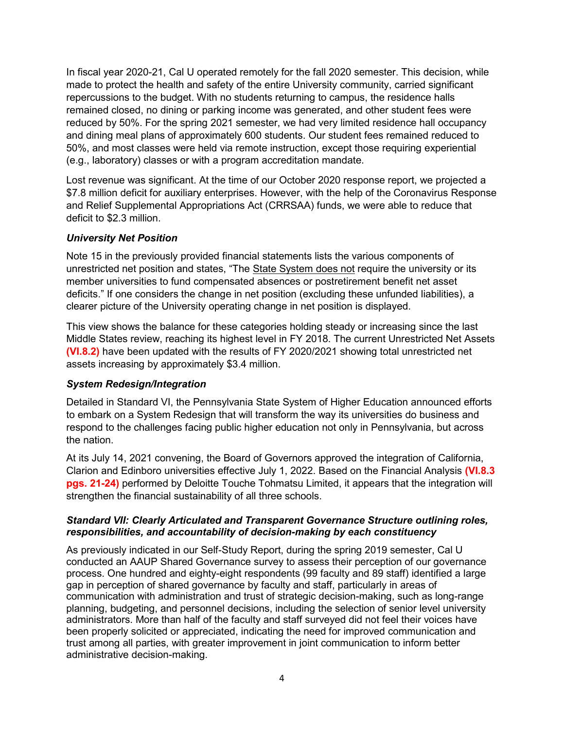In fiscal year 2020-21, Cal U operated remotely for the fall 2020 semester. This decision, while made to protect the health and safety of the entire University community, carried significant repercussions to the budget. With no students returning to campus, the residence halls remained closed, no dining or parking income was generated, and other student fees were reduced by 50%. For the spring 2021 semester, we had very limited residence hall occupancy and dining meal plans of approximately 600 students. Our student fees remained reduced to 50%, and most classes were held via remote instruction, except those requiring experiential (e.g., laboratory) classes or with a program accreditation mandate.

Lost revenue was significant. At the time of our October 2020 response report, we projected a \$7.8 million deficit for auxiliary enterprises. However, with the help of the Coronavirus Response and Relief Supplemental Appropriations Act (CRRSAA) funds, we were able to reduce that deficit to \$2.3 million.

#### *University Net Position*

Note 15 in the previously provided financial statements lists the various components of unrestricted net position and states, "The State System does not require the university or its member universities to fund compensated absences or postretirement benefit net asset deficits." If one considers the change in net position (excluding these unfunded liabilities), a clearer picture of the University operating change in net position is displayed.

This view shows the balance for these categories holding steady or increasing since the last Middle States review, reaching its highest level in FY 2018. The current Unrestricted Net Assets **(VI.8.2)** have been updated with the results of FY 2020/2021 showing total unrestricted net assets increasing by approximately \$3.4 million.

#### *System Redesign/Integration*

Detailed in Standard VI, the Pennsylvania State System of Higher Education announced efforts to embark on a System Redesign that will transform the way its universities do business and respond to the challenges facing public higher education not only in Pennsylvania, but across the nation.

At its July 14, 2021 convening, the Board of Governors approved the integration of California, Clarion and Edinboro universities effective July 1, 2022. Based on the Financial Analysis **(VI.8.3 pgs. 21-24)** performed by Deloitte Touche Tohmatsu Limited, it appears that the integration will strengthen the financial sustainability of all three schools.

#### *Standard VII: Clearly Articulated and Transparent Governance Structure outlining roles, responsibilities, and accountability of decision-making by each constituency*

As previously indicated in our Self-Study Report, during the spring 2019 semester, Cal U conducted an AAUP Shared Governance survey to assess their perception of our governance process. One hundred and eighty-eight respondents (99 faculty and 89 staff) identified a large gap in perception of shared governance by faculty and staff, particularly in areas of communication with administration and trust of strategic decision-making, such as long-range planning, budgeting, and personnel decisions, including the selection of senior level university administrators. More than half of the faculty and staff surveyed did not feel their voices have been properly solicited or appreciated, indicating the need for improved communication and trust among all parties, with greater improvement in joint communication to inform better administrative decision-making.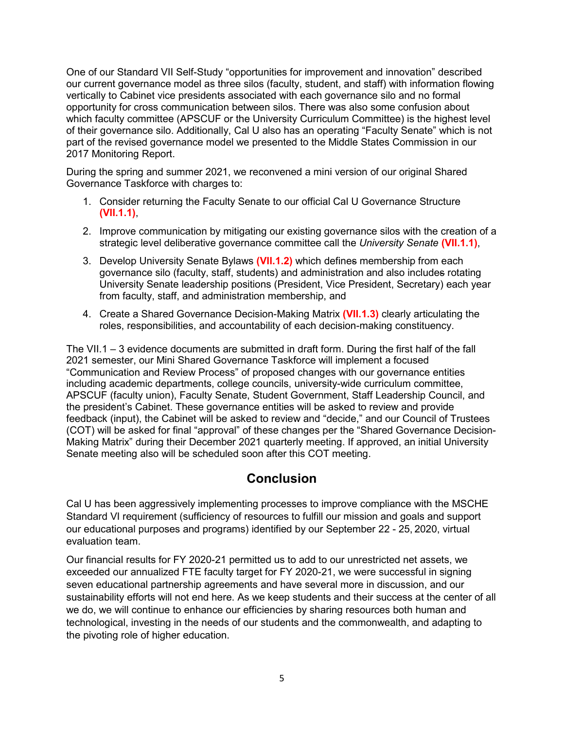One of our Standard VII Self-Study "opportunities for improvement and innovation" described our current governance model as three silos (faculty, student, and staff) with information flowing vertically to Cabinet vice presidents associated with each governance silo and no formal opportunity for cross communication between silos. There was also some confusion about which faculty committee (APSCUF or the University Curriculum Committee) is the highest level of their governance silo. Additionally, Cal U also has an operating "Faculty Senate" which is not part of the revised governance model we presented to the Middle States Commission in our 2017 Monitoring Report.

During the spring and summer 2021, we reconvened a mini version of our original Shared Governance Taskforce with charges to:

- 1. Consider returning the Faculty Senate to our official Cal U Governance Structure **(VII.1.1)**,
- 2. Improve communication by mitigating our existing governance silos with the creation of a strategic level deliberative governance committee call the *University Senate* **(VII.1.1)**,
- 3. Develop University Senate Bylaws **(VII.1.2)** which defines membership from each governance silo (faculty, staff, students) and administration and also includes rotating University Senate leadership positions (President, Vice President, Secretary) each year from faculty, staff, and administration membership, and
- 4. Create a Shared Governance Decision-Making Matrix **(VII.1.3)** clearly articulating the roles, responsibilities, and accountability of each decision-making constituency.

The VII.1 – 3 evidence documents are submitted in draft form. During the first half of the fall 2021 semester, our Mini Shared Governance Taskforce will implement a focused "Communication and Review Process" of proposed changes with our governance entities including academic departments, college councils, university-wide curriculum committee, APSCUF (faculty union), Faculty Senate, Student Government, Staff Leadership Council, and the president's Cabinet. These governance entities will be asked to review and provide feedback (input), the Cabinet will be asked to review and "decide," and our Council of Trustees (COT) will be asked for final "approval" of these changes per the "Shared Governance Decision-Making Matrix" during their December 2021 quarterly meeting. If approved, an initial University Senate meeting also will be scheduled soon after this COT meeting.

# **Conclusion**

Cal U has been aggressively implementing processes to improve compliance with the MSCHE Standard VI requirement (sufficiency of resources to fulfill our mission and goals and support our educational purposes and programs) identified by our September 22 - 25, 2020, virtual evaluation team.

Our financial results for FY 2020-21 permitted us to add to our unrestricted net assets, we exceeded our annualized FTE faculty target for FY 2020-21, we were successful in signing seven educational partnership agreements and have several more in discussion, and our sustainability efforts will not end here. As we keep students and their success at the center of all we do, we will continue to enhance our efficiencies by sharing resources both human and technological, investing in the needs of our students and the commonwealth, and adapting to the pivoting role of higher education.